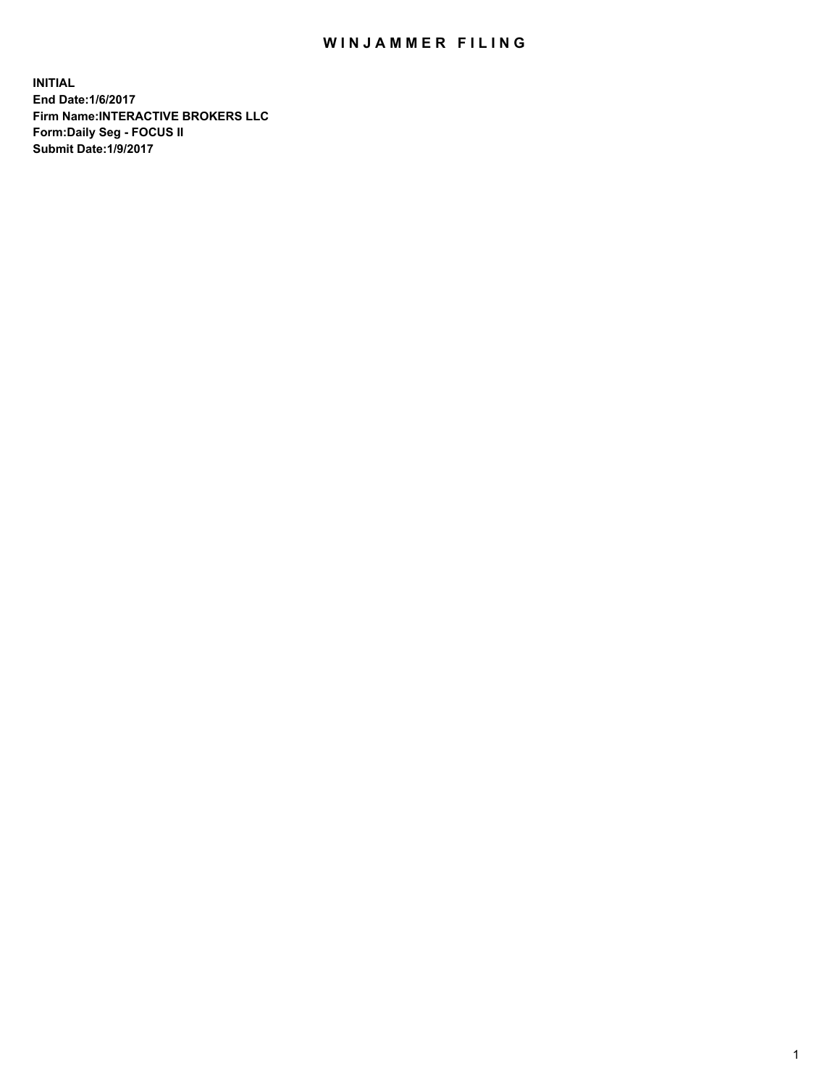## WIN JAMMER FILING

**INITIAL End Date:1/6/2017 Firm Name:INTERACTIVE BROKERS LLC Form:Daily Seg - FOCUS II Submit Date:1/9/2017**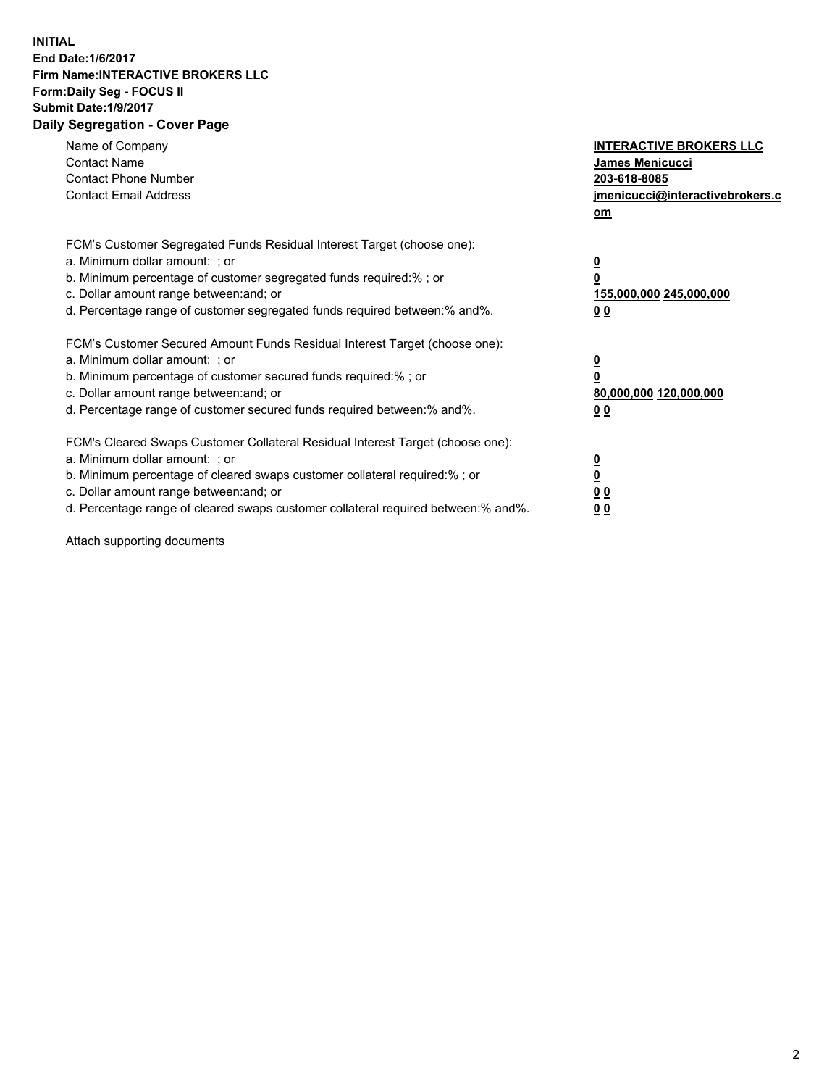## **INITIAL End Date:1/6/2017 Firm Name:INTERACTIVE BROKERS LLC Form:Daily Seg - FOCUS II Submit Date:1/9/2017 Daily Segregation - Cover Page**

| Name of Company<br><b>Contact Name</b><br><b>Contact Phone Number</b><br><b>Contact Email Address</b>                                                                                                                                                                                                                          | <b>INTERACTIVE BROKERS LLC</b><br>James Menicucci<br>203-618-8085<br>jmenicucci@interactivebrokers.c<br>om |
|--------------------------------------------------------------------------------------------------------------------------------------------------------------------------------------------------------------------------------------------------------------------------------------------------------------------------------|------------------------------------------------------------------------------------------------------------|
| FCM's Customer Segregated Funds Residual Interest Target (choose one):<br>a. Minimum dollar amount: ; or<br>b. Minimum percentage of customer segregated funds required:% ; or<br>c. Dollar amount range between: and; or<br>d. Percentage range of customer segregated funds required between:% and%.                         | $\overline{\mathbf{0}}$<br>0<br>155,000,000 245,000,000<br>0 <sub>0</sub>                                  |
| FCM's Customer Secured Amount Funds Residual Interest Target (choose one):<br>a. Minimum dollar amount: ; or<br>b. Minimum percentage of customer secured funds required:%; or<br>c. Dollar amount range between: and; or<br>d. Percentage range of customer secured funds required between: % and %.                          | $\overline{\mathbf{0}}$<br>0<br>80,000,000 120,000,000<br>0 <sub>0</sub>                                   |
| FCM's Cleared Swaps Customer Collateral Residual Interest Target (choose one):<br>a. Minimum dollar amount: ; or<br>b. Minimum percentage of cleared swaps customer collateral required:% ; or<br>c. Dollar amount range between: and; or<br>d. Percentage range of cleared swaps customer collateral required between:% and%. | $\overline{\mathbf{0}}$<br>$\overline{\mathbf{0}}$<br>0 <sub>0</sub><br>0 <sub>0</sub>                     |

Attach supporting documents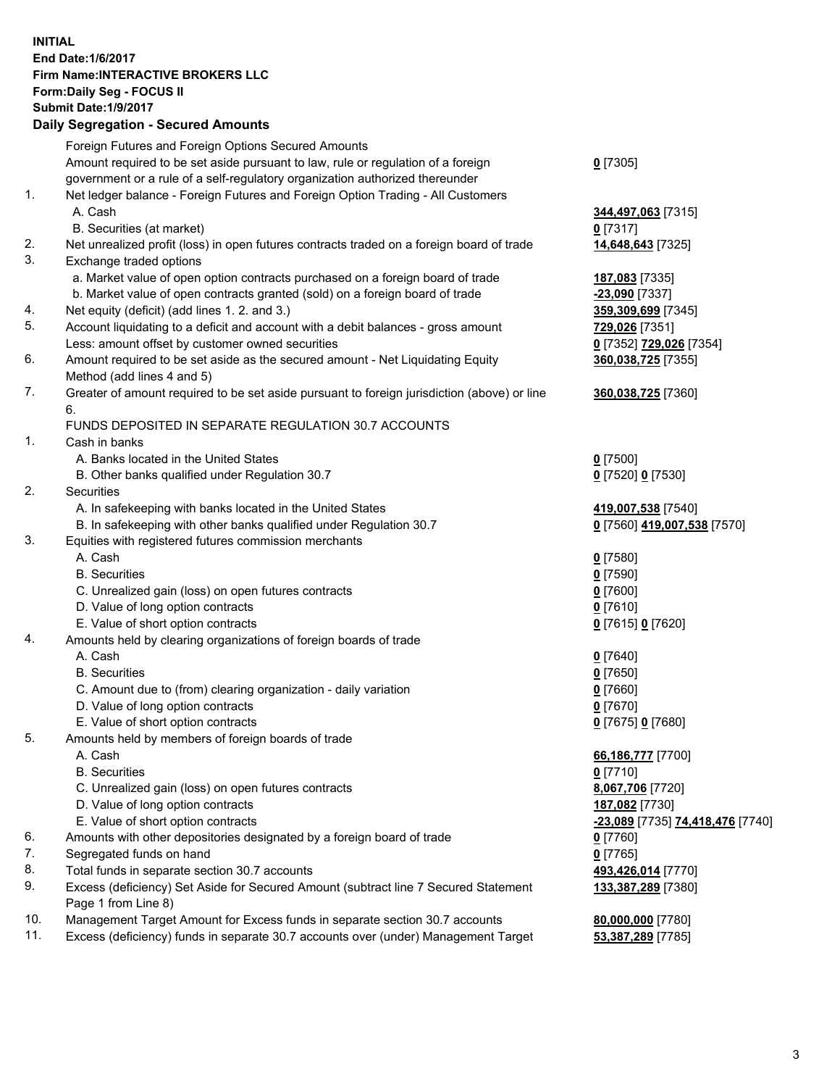## **INITIAL End Date:1/6/2017 Firm Name:INTERACTIVE BROKERS LLC Form:Daily Seg - FOCUS II Submit Date:1/9/2017 Daily Segregation - Secured Amounts**

|     | Foreign Futures and Foreign Options Secured Amounts                                         |                                  |
|-----|---------------------------------------------------------------------------------------------|----------------------------------|
|     | Amount required to be set aside pursuant to law, rule or regulation of a foreign            | $0$ [7305]                       |
|     | government or a rule of a self-regulatory organization authorized thereunder                |                                  |
| 1.  | Net ledger balance - Foreign Futures and Foreign Option Trading - All Customers             |                                  |
|     | A. Cash                                                                                     | 344,497,063 [7315]               |
|     | B. Securities (at market)                                                                   | 0 [7317]                         |
| 2.  | Net unrealized profit (loss) in open futures contracts traded on a foreign board of trade   | 14,648,643 [7325]                |
| 3.  | Exchange traded options                                                                     |                                  |
|     | a. Market value of open option contracts purchased on a foreign board of trade              | 187,083 [7335]                   |
|     | b. Market value of open contracts granted (sold) on a foreign board of trade                | -23,090 [7337]                   |
| 4.  | Net equity (deficit) (add lines 1. 2. and 3.)                                               | 359,309,699 [7345]               |
| 5.  | Account liquidating to a deficit and account with a debit balances - gross amount           | 729,026 [7351]                   |
|     | Less: amount offset by customer owned securities                                            | 0 [7352] 729,026 [7354]          |
| 6.  | Amount required to be set aside as the secured amount - Net Liquidating Equity              | 360,038,725 [7355]               |
|     | Method (add lines 4 and 5)                                                                  |                                  |
| 7.  | Greater of amount required to be set aside pursuant to foreign jurisdiction (above) or line | 360,038,725 [7360]               |
|     | 6.                                                                                          |                                  |
|     | FUNDS DEPOSITED IN SEPARATE REGULATION 30.7 ACCOUNTS                                        |                                  |
| 1.  | Cash in banks                                                                               |                                  |
|     | A. Banks located in the United States                                                       | $0$ [7500]                       |
|     | B. Other banks qualified under Regulation 30.7                                              | 0 [7520] 0 [7530]                |
| 2.  | Securities                                                                                  |                                  |
|     | A. In safekeeping with banks located in the United States                                   | 419,007,538 [7540]               |
|     | B. In safekeeping with other banks qualified under Regulation 30.7                          | 0 [7560] 419,007,538 [7570]      |
| 3.  | Equities with registered futures commission merchants                                       |                                  |
|     | A. Cash                                                                                     | $0$ [7580]                       |
|     | <b>B.</b> Securities                                                                        | $0$ [7590]                       |
|     | C. Unrealized gain (loss) on open futures contracts                                         | $0$ [7600]                       |
|     | D. Value of long option contracts                                                           | $0$ [7610]                       |
|     | E. Value of short option contracts                                                          | 0 [7615] 0 [7620]                |
| 4.  | Amounts held by clearing organizations of foreign boards of trade                           |                                  |
|     | A. Cash                                                                                     | $0$ [7640]                       |
|     | <b>B.</b> Securities                                                                        | $0$ [7650]                       |
|     | C. Amount due to (from) clearing organization - daily variation                             | $0$ [7660]                       |
|     | D. Value of long option contracts                                                           | $0$ [7670]                       |
|     | E. Value of short option contracts                                                          | 0 [7675] 0 [7680]                |
| 5.  | Amounts held by members of foreign boards of trade                                          |                                  |
|     | A. Cash                                                                                     | 66,186,777 [7700]                |
|     | <b>B.</b> Securities                                                                        | $0$ [7710]                       |
|     | C. Unrealized gain (loss) on open futures contracts                                         | 8,067,706 [7720]                 |
|     | D. Value of long option contracts                                                           | 187,082 [7730]                   |
|     | E. Value of short option contracts                                                          | -23,089 [7735] 74,418,476 [7740] |
| 6.  | Amounts with other depositories designated by a foreign board of trade                      | 0 [7760]                         |
| 7.  | Segregated funds on hand                                                                    | $0$ [7765]                       |
| 8.  | Total funds in separate section 30.7 accounts                                               | 493,426,014 [7770]               |
| 9.  | Excess (deficiency) Set Aside for Secured Amount (subtract line 7 Secured Statement         | 133,387,289 [7380]               |
|     | Page 1 from Line 8)                                                                         |                                  |
| 10. | Management Target Amount for Excess funds in separate section 30.7 accounts                 | 80,000,000 [7780]                |
| 11. | Excess (deficiency) funds in separate 30.7 accounts over (under) Management Target          | 53,387,289 [7785]                |
|     |                                                                                             |                                  |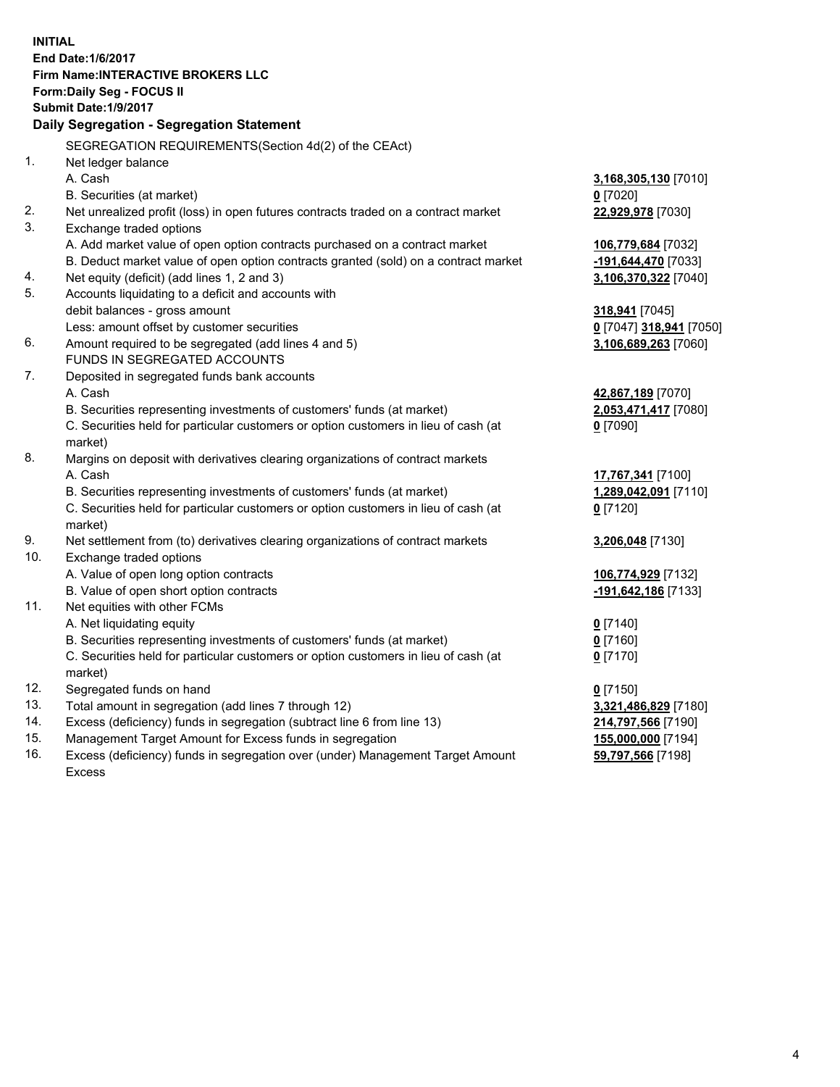**INITIAL End Date:1/6/2017 Firm Name:INTERACTIVE BROKERS LLC Form:Daily Seg - FOCUS II Submit Date:1/9/2017 Daily Segregation - Segregation Statement** SEGREGATION REQUIREMENTS(Section 4d(2) of the CEAct) 1. Net ledger balance A. Cash **3,168,305,130** [7010] B. Securities (at market) **0** [7020] 2. Net unrealized profit (loss) in open futures contracts traded on a contract market **22,929,978** [7030] 3. Exchange traded options A. Add market value of open option contracts purchased on a contract market **106,779,684** [7032] B. Deduct market value of open option contracts granted (sold) on a contract market **-191,644,470** [7033] 4. Net equity (deficit) (add lines 1, 2 and 3) **3,106,370,322** [7040] 5. Accounts liquidating to a deficit and accounts with debit balances - gross amount **318,941** [7045] Less: amount offset by customer securities **0** [7047] **318,941** [7050] 6. Amount required to be segregated (add lines 4 and 5) **3,106,689,263** [7060] FUNDS IN SEGREGATED ACCOUNTS 7. Deposited in segregated funds bank accounts A. Cash **42,867,189** [7070] B. Securities representing investments of customers' funds (at market) **2,053,471,417** [7080] C. Securities held for particular customers or option customers in lieu of cash (at market) **0** [7090] 8. Margins on deposit with derivatives clearing organizations of contract markets A. Cash **17,767,341** [7100] B. Securities representing investments of customers' funds (at market) **1,289,042,091** [7110] C. Securities held for particular customers or option customers in lieu of cash (at market) **0** [7120] 9. Net settlement from (to) derivatives clearing organizations of contract markets **3,206,048** [7130] 10. Exchange traded options A. Value of open long option contracts **106,774,929** [7132] B. Value of open short option contracts **-191,642,186** [7133] 11. Net equities with other FCMs A. Net liquidating equity **0** [7140] B. Securities representing investments of customers' funds (at market) **0** [7160] C. Securities held for particular customers or option customers in lieu of cash (at market) **0** [7170] 12. Segregated funds on hand **0** [7150] 13. Total amount in segregation (add lines 7 through 12) **3,321,486,829** [7180] 14. Excess (deficiency) funds in segregation (subtract line 6 from line 13) **214,797,566** [7190] 15. Management Target Amount for Excess funds in segregation **155,000,000** [7194] **59,797,566** [7198]

16. Excess (deficiency) funds in segregation over (under) Management Target Amount Excess